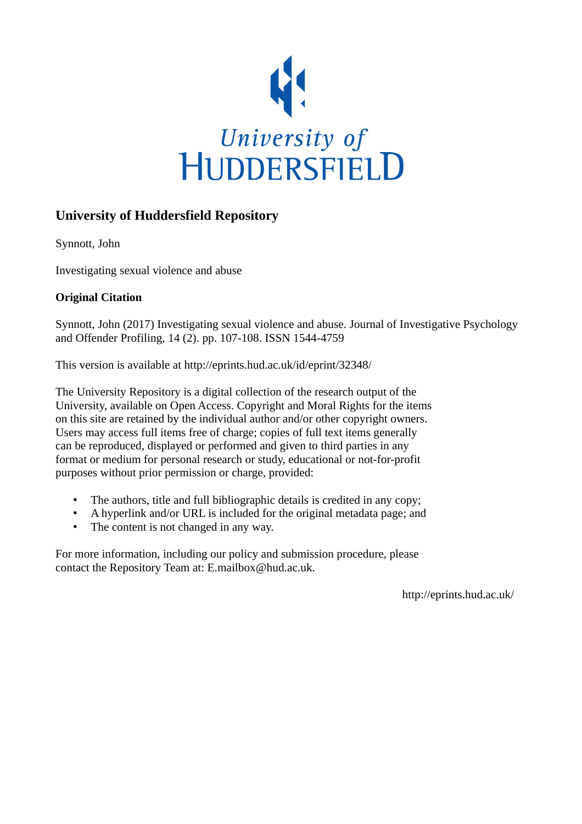

## **University of Huddersfield Repository**

Synnott, John

Investigating sexual violence and abuse

## **Original Citation**

Synnott, John (2017) Investigating sexual violence and abuse. Journal of Investigative Psychology and Offender Profiling, 14 (2). pp. 107-108. ISSN 1544-4759

This version is available at http://eprints.hud.ac.uk/id/eprint/32348/

The University Repository is a digital collection of the research output of the University, available on Open Access. Copyright and Moral Rights for the items on this site are retained by the individual author and/or other copyright owners. Users may access full items free of charge; copies of full text items generally can be reproduced, displayed or performed and given to third parties in any format or medium for personal research or study, educational or not-for-profit purposes without prior permission or charge, provided:

- The authors, title and full bibliographic details is credited in any copy;
- A hyperlink and/or URL is included for the original metadata page; and
- The content is not changed in any way.

For more information, including our policy and submission procedure, please contact the Repository Team at: E.mailbox@hud.ac.uk.

http://eprints.hud.ac.uk/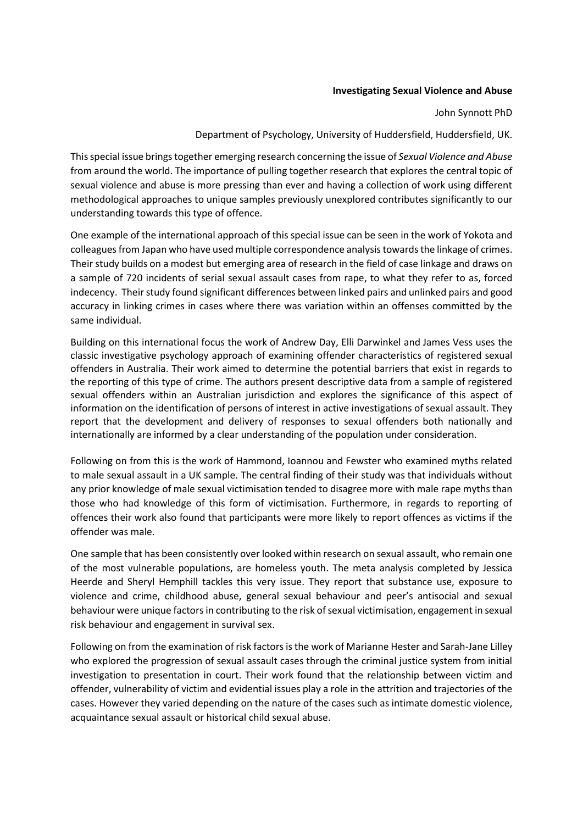## **Investigating Sexual Violence and Abuse**

John Synnott PhD

Department of Psychology, University of Huddersfield, Huddersfield, UK.

This special issue brings together emerging research concerning the issue of *Sexual Violence and Abuse* from around the world. The importance of pulling together research that explores the central topic of sexual violence and abuse is more pressing than ever and having a collection of work using different methodological approaches to unique samples previously unexplored contributes significantly to our understanding towards this type of offence.

One example of the international approach of this special issue can be seen in the work of Yokota and colleaguesfrom Japan who have used multiple correspondence analysis towards the linkage of crimes. Their study builds on a modest but emerging area of research in the field of case linkage and draws on a sample of 720 incidents of serial sexual assault cases from rape, to what they refer to as, forced indecency. Their study found significant differences between linked pairs and unlinked pairs and good accuracy in linking crimes in cases where there was variation within an offenses committed by the same individual.

Building on this international focus the work of Andrew Day, Elli Darwinkel and James Vess uses the classic investigative psychology approach of examining offender characteristics of registered sexual offenders in Australia. Their work aimed to determine the potential barriers that exist in regards to the reporting of this type of crime. The authors present descriptive data from a sample of registered sexual offenders within an Australian jurisdiction and explores the significance of this aspect of information on the identification of persons of interest in active investigations of sexual assault. They report that the development and delivery of responses to sexual offenders both nationally and internationally are informed by a clear understanding of the population under consideration.

Following on from this is the work of Hammond, Ioannou and Fewster who examined myths related to male sexual assault in a UK sample. The central finding of their study was that individuals without any prior knowledge of male sexual victimisation tended to disagree more with male rape myths than those who had knowledge of this form of victimisation. Furthermore, in regards to reporting of offences their work also found that participants were more likely to report offences as victims if the offender was male.

One sample that has been consistently over looked within research on sexual assault, who remain one of the most vulnerable populations, are homeless youth. The meta analysis completed by Jessica Heerde and Sheryl Hemphill tackles this very issue. They report that substance use, exposure to violence and crime, childhood abuse, general sexual behaviour and peer's antisocial and sexual behaviour were unique factors in contributing to the risk of sexual victimisation, engagement in sexual risk behaviour and engagement in survival sex.

Following on from the examination of risk factors is the work of Marianne Hester and Sarah-Jane Lilley who explored the progression of sexual assault cases through the criminal justice system from initial investigation to presentation in court. Their work found that the relationship between victim and offender, vulnerability of victim and evidential issues play a role in the attrition and trajectories of the cases. However they varied depending on the nature of the cases such as intimate domestic violence, acquaintance sexual assault or historical child sexual abuse.